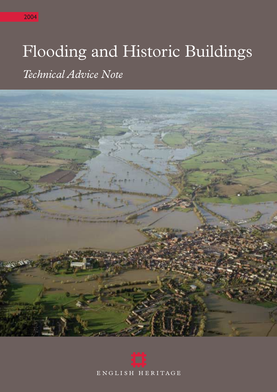# Flooding and Historic Buildings

*Technical Advice Note*



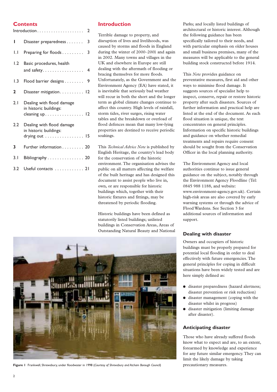# **Contents**

| $Introduction \dots \dots \dots \dots \dots \dots \dots \dots$ |                                                                        |  |
|----------------------------------------------------------------|------------------------------------------------------------------------|--|
| L                                                              | Disaster preparedness<br>3                                             |  |
| $1.1 -$                                                        | 3<br>Preparing for floods                                              |  |
| 1.2                                                            | Basic procedures, health<br>and safety. 4                              |  |
| 1.3                                                            | Flood barrier designs<br>9                                             |  |
| $\mathbf{2}$                                                   | Disaster mitigation 12                                                 |  |
| 2.1                                                            | Dealing with flood damage<br>in historic buildings:<br>cleaning up. 12 |  |
| 2.2                                                            | Dealing with flood damage<br>in historic buildings:<br>drying out  15  |  |
| 3                                                              | Further information 20                                                 |  |
| 3.1                                                            | Bibliography 20                                                        |  |
| 3.2                                                            | Useful contacts 21                                                     |  |

# **Introduction**

Terrible damage to property, and disruption of lives and livelihoods, was caused by storms and floods in England during the winter of 2000–2001 and again in 2002. Many towns and villages in the UK and elsewhere in Europe are still dealing with the aftermath of flooding or bracing themselves for more floods. Unfortunately, as the Government and the Environment Agency (EA) have stated, it is inevitable that seriously bad weather will recur in both the short and the longer term as global climate changes continue to affect this country. High levels of rainfall, storm tides, river surges, rising water tables and the breakdown or overload of flood defences mean that many low-lying properties are destined to receive periodic soakings.

This *Technical Advice Note* is published by English Heritage, the country's lead body for the conservation of the historic environment. The organisation advises the public on all matters affecting the welfare of the built heritage and has designed this document to assist people who live in, own, or are responsible for historic buildings which, together with their historic fixtures and fittings, may be threatened by periodic flooding.

Historic buildings have been defined as statutorily listed buildings; unlisted buildings in Conservation Areas, Areas of Outstanding Natural Beauty and National Parks; and locally listed buildings of architectural or historic interest. Although the following guidance has been specifically tailored to their needs, and with particular emphasis on older houses and small business premises, many of the measures will be applicable to the general building stock constructed before 1914.

This *Note* provides guidance on preventative measures, first aid and other ways to minimise flood damage. It suggests sources of specialist help to inspect, conserve, repair or restore historic property after such disasters. Sources of further information and practical help are listed at the end of the document. As each flood situation is unique, the text concentrates on general principles. Information on specific historic buildings and guidance on whether remedial treatments and repairs require consent should be sought from the Conservation Officer in the local planning authority.

The Environment Agency and local authorities continue to issue general guidance on the subject, notably through the Environment Agency Floodline (Tel: 0845 988 1188, and website: www.environment-agency.gov.uk). Certain high-risk areas are also covered by early warning systems or through the advice of Flood Wardens. See Section 3 for additional sources of information and support.

# **Dealing with disaster**

Owners and occupiers of historic buildings must be properly prepared for potential local flooding in order to deal effectively with future emergencies. The general principles for coping in difficult situations have been widely tested and are here simply defined as:

- disaster preparedness (hazard alertness; disaster prevention or risk reduction)
- disaster management (coping with the disaster whilst in progress)
- disaster mitigation (limiting damage after disaster).

## **Anticipating disaster**

Those who have already suffered floods know what to expect and are, to an extent, forearmed by knowledge and experience for any future similar emergency. They can limit the likely damage by taking



**Figure 1** Frankwell, Shrewsbury, under floodwater in 1998 (Courtesy of Shrewsbury and Atcham Borough Council) precautionary measures.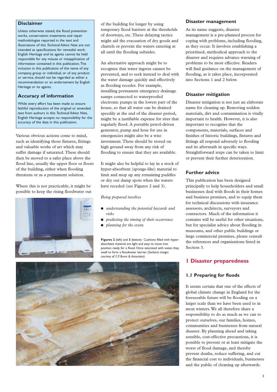### **Disclaimer**

Unless otherwise stated, the flood prevention works, conservation treatments and repair methodologies reported in the text and illustrations of this *Technical Advice Note* are not intended as specifications for remedial work. English Heritage and its agents cannot be held responsible for any misuse or misapplication of information contained in this publication.The inclusion in this publication of the name of any company, group or individual, or of any product or service, should not be regarded as either a recommendation or an endorsement by English Heritage or its agents.

## **Accuracy of information**

While every effort has been made to ensure faithful reproduction of the original or amended text from authors in this *Technical Advice Note,* English Heritage accepts no responsibility for the accuracy of the data in this publication.

Various obvious actions come to mind, such as identifying those fixtures, fittings and valuable works of art which may suffer damage if saturated. These should then be moved to a safer place above the flood line, usually the upper floor or floors of the building, either when flooding threatens or as a permanent solution.

Where this is not practicable, it might be possible to keep the rising floodwater out



of the building for longer by using temporary flood barriers at the thresholds of doorways, etc. These delaying tactics might aid the evacuation of dry goods and chattels or prevent the waters entering at all until the flooding subsides.

An alternative approach might be to recognise that water ingress cannot be prevented, and to seek instead to deal with the water damage quickly and effectively as flooding recedes. For example, installing permanent emergency drainage sumps connected to waterproofed electronic pumps in the lowest part of the house, so that all water can be drained speedily at the end of the disaster period, might be a justifiable expense for sites that regularly flood. A portable petrol-driven generator, pump and hose for use in emergencies might also be a wise investment. These should be stored on high ground away from any risk of flooding to ensure that they are available.

It might also be helpful to lay in a stock of hyper-absorbent (sponge-like) material to limit and mop up any remaining puddles or dry out damp spots when the waters have receded (see Figures 2 and 3).

#### *Being prepared involves*

- *understanding the potential hazards and risks*
- *predicting the timing of their occurrence*
- *planning for the event.*

**Figures 2** (left) and **3** (below) Cushions filled with hyperabsorbent material are light and easy to move into position ready for a flood. Once saturated with water, they swell to form a floodwater barrier. (*Sorbarix: images courtesy of C.P. Burns & Associates*)



## **Disaster management**

As its name suggests, disaster management is a pre-planned process for coping with problems, including flooding, as they occur. It involves establishing a prioritised, methodical approach to the disaster and requires advance warning of problems to be most effective. Readers will find guidance on the management of flooding, as it takes place, incorporated into Sections 1 and 2 below.

## **Disaster mitigation**

Disaster mitigation is not just an elaborate name for cleaning up. Removing sodden materials, dirt and contamination is vitally important to health. However, it is also important to recognise that the components, materials, surfaces and finishes of historic buildings, fixtures and fittings all respond adversely to flooding and its aftermath in specific ways. Straightforward steps can be taken to limit or prevent their further deterioration.

## **Further advice**

This publication has been designed principally to help householders and small businesses deal with floods in their homes and business premises, and to equip them for technical discussions with insurance assessors, architects, surveyors and contractors. Much of the information it contains will be useful for other situations, but for specialist advice about flooding in museums, and other public buildings or large commercial premises, please consult the references and organisations listed in Section 3.

# **1 Disaster preparedness**

## **1.1 Preparing for floods**

It seems certain that one of the effects of global climate change in England for the foreseeable future will be flooding on a larger scale than we have been used to in most winters. We all therefore share a responsibility to do as much as we can to protect ourselves, our families, homes, communities and businesses from natural disaster. By planning ahead and taking sensible, cost-effective precautions, it is possible to prevent or at least mitigate the worst of flood damage, and thereby prevent deaths, reduce suffering, and cut the financial cost to individuals, businesses and the public of cleaning up afterwards.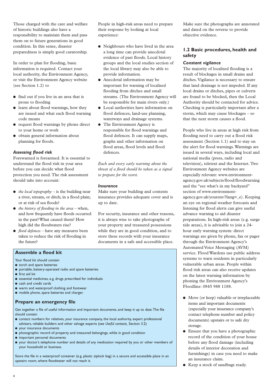Those charged with the care and welfare of historic buildings also have a responsibility to maintain them and pass them on to future generations in good condition. In this sense, disaster preparedness is simply good curatorship.

In order to plan for flooding, basic information is required. Contact your local authority, the Environment Agency, or visit the Environment Agency website (see Section 1.2) to

- find out if you live in an area that is prone to flooding
- learn about flood warnings, how they are issued and what each flood warning code means
- request flood warnings by phone direct to your home or work
- obtain general information about planning for floods.

#### *Assessing flood risk*

Forewarned is forearmed. It is essential to understand the flood risk in your area before you can decide what flood protection you need. The risk assessment should take into account:

- *the local topography* is the building near a river, stream, or ditch; in a flood plain; or at risk of sea floods?
- *the history of flooding in the area –* when, and how frequently have floods occurred in the past? What caused them? How high did the floodwaters rise?
- *flood defences –* have any measures been taken to reduce the risk of flooding in the future?

People in high-risk areas need to prepare their response by looking at local experience:

- Neighbours who have lived in the area a long time can provide anecdotal evidence of past floods. Local history groups and the local studies section of the local library may also be able to provide information.
- Anecdotal information may be important for warning of localised flooding from ditches and small streams. (The Environment Agency will be responsible for main rivers only.)
- Local authorities have information on flood defences, land-use planning, waterways and drainage systems.
- The Environment Agency is responsible for flood warnings and flood defences. It can supply maps, graphs and other information on flood areas, flood levels and flood defences.

*Each and every early warning about the threat of a flood should be taken as a signal to prepare for the worst.*

#### *Insurance*

Make sure your building and contents insurance provides adequate cover and is up to date.

For security, insurance and other reasons, it is always wise to take photographs of your property and treasured possessions while they are in good condition, and to store these records with your insurance documents in a safe and accessible place.

**Assemble a flood kit**

- Your flood kit should contain
- torch and spare batteries
- portable, battery-operated radio and spare batteries
- first aid kit
- essential medicines, e.g. drugs prescribed for individuals
- cash and credit cards
- warm and waterproof clothing and footwear
- mobile phone, spare batteries and charger.

## **Prepare an emergency file**

Get together a file of useful information and important documents, and keep it up to date.The file should contain

- contact numbers for relatives, your insurance company, the local authority, expert professional advisers, reliable builders and other salvage experts (see *Useful contacts,* Section 3.2)
- your insurance documents
- photographic record of property and treasured belongings, while in good condition
- important personal documents
- your doctor's telephone number and details of any medication required by you or other members of your household or business.

Store the file in a waterproof container (e.g. plastic ziplock bag) in a secure and accessible place in an upstairs room, where floodwater will not reach it.

Make sure the photographs are annotated and dated on the reverse to provide objective evidence.

## **1.2 Basic procedures, health and safety**

## *Constant vigilance*

The majority of localised flooding is a result of blockages in small drains and ditches. Vigilance is necessary to ensure that land drainage is not impeded. If any local drains or ditches, pipes or culverts are found to be blocked, then the Local Authority should be contacted for advice. Checking is particularly important after a storm, which may cause blockages – so that the next storm causes a flood.

People who live in areas at high risk from flooding need to carry out a flood risk assessment (Section 1.1) and to stay on the alert for flood warnings. Warnings are issued in several ways, including local and national media (press, radio and television), teletext and the Internet. Two Environment Agency websites are especially relevant: www.environmentagency.gov.uk/subjects/flood/floodwarning and the "see what's in my backyard" section of www.environmentagency.gov.uk/yourenv/?lang=\_e). Keeping an eye on regional weather forecasts and listening for flood alerts can give useful advance warning to aid disaster preparations. In high-risk areas (e.g. surge tide areas), it is advisable to join a 24 hour early warning system: direct warnings are given by phone, fax or pager through the Environment Agency's Automated Voice Messaging (AVM) service. Flood Wardens use public address systems to warn residents in particularly vulnerable urban areas. People within flood risk areas can also receive updates on the latest warning information by phoning the Environment Agency's Floodline: 0845 988 1188.

- Move (or keep) valuable or irreplaceable items and important documents (especially your insurance company's contact telephone number and policy documents) upstairs or to safe dry storage.
- Ensure that you have a photographic record of the condition of your house before any flood damage (including details of interior decoration and furnishings) in case you need to make an insurance claim.
- Keep a stock of sandbags ready.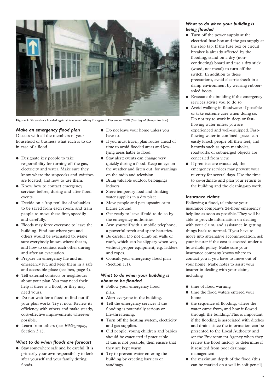

**Figure 4** Shrewsbury flooded again all too soon! Abbey Foregate in December 2000 (*Courtesy of* Shropshire Star)

## *Make an emergency flood plan*

Discuss with all the members of your household or business what each is to do in case of a flood.

- Designate key people to take responsibility for turning off the gas, electricity and water. Make sure they know where the stopcocks and switches are located, and how to use them.
- Know how to contact emergency services before, during and after flood events.
- Decide on a 'top ten' list of valuables to be saved from each room, and train people to move these first, speedily and carefully.
- Floods may force everyone to leave the building. Find out where you and others would be evacuated to. Make sure everybody knows where that is, and how to contact each other during and after an evacuation.
- Prepare an emergency file and an emergency kit, and keep them in a safe and accessible place (see box, page 4).
- Tell external contacts or neighbours about your plan.You may need their help if there is a flood, or they may need yours.
- Do not wait for a flood to find out if your plan works. Try it now. Review its efficiency with others and make steady, cost-effective improvements wherever possible.
- Learn from others (see *Bibliography*, Section 3.1).

## *What to do when floods are forecast*

● Stay somewhere safe and be careful. It is primarily your own responsibility to look after yourself and your family during floods.

- Do not leave your home unless you have to.
- If you must travel, plan routes ahead of time to avoid flooded areas and lowlying areas liable to flood.
- Stay alert: events can change very quickly during a flood. Keep an eye on the weather and listen out for warnings on the radio and television.
- Bring valuable outdoor belongings indoors.
- Store temporary food and drinking water supplies in a dry place.
- Move people and pets upstairs or to higher ground.
- Get ready to leave if told to do so by the emergency authorities.
- Arm yourself with a mobile telephone, a powerful torch and spare batteries.
- Be careful. Do not climb on walls or roofs, which can be slippery when wet, without proper equipment, e.g. ladders and ropes.
- Consult your emergency flood plan (Section 1.1).

## *What to do when your building is about to be flooded*

- Follow your emergency flood plan.
- Alert everyone in the building.
- Tell the emergency services if the flooding is potentially serious or life-threatening.
- Turn off the heating system, electricity and gas supplies.
- Old people, young children and babies should be evacuated if practicable. If this is not possible, then ensure that they are kept warm.
- Try to prevent water entering the building by erecting barriers or sandbags.

## *What to do when your building is being flooded*

- Turn off the power supply at the electrical fuse box and the gas supply at the stop tap. If the fuse box or circuit breaker is already affected by the flooding, stand on a dry (nonconducting) board and use a dry stick (wood, not metal) to turn off the switch. In addition to these precautions, avoid electric shock in a damp environment by wearing rubbersoled boots.
- Evacuate the building if the emergency services advise you to do so.
- Avoid walking in floodwater if possible or take extreme care when doing so. Do not try to work in deep or fastflowing water unless you are experienced and well-equipped. Fastflowing water in confined spaces can easily knock people off their feet, and hazards such as open manholes, roadworks or submerged objects are concealed from view.
- If premises are evacuated, the emergency services may prevent your re-entry for several days. Use the time to co-ordinate and plan your return to the building and the cleaning-up work.

#### *Insurance claims*

Following a flood, telephone your insurance company's 24-hour emergency helpline as soon as possible. They will be able to provide information on dealing with your claim, and assistance in getting things back to normal. If you have to move into alternative accommodation, ask your insurer if the cost is covered under a household policy. Make sure your insurance company knows where to contact you if you have to move out of your home. Make notes to assist your insurer in dealing with your claim, including

- time of flood warning
- time the flood waters entered your home
- the sequence of flooding, where the water came from, and how it flowed through the building. This is important if the flooding is associated with ditches and drains since the information can be presented to the Local Authority and /or the Environment Agency when they review the flood history to determine if it resulted from poor drainage management.
- the maximum depth of the flood (this can be marked on a wall in soft pencil)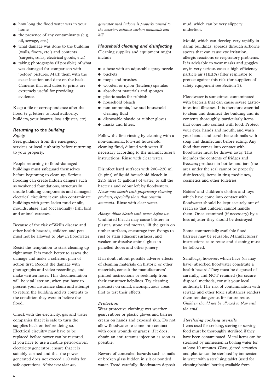- how long the flood water was in your home
- the presence of any contaminants (e.g. oil, sewage, etc.)
- what damage was done to the building (walls, floors, etc.) and contents (carpets, sofas, electrical goods, etc.)
- taking photographs (if possible) of what was damaged for comparison with 'before' pictures. Mark them with the exact location and date on the back. Cameras that add dates to prints are extremely useful for providing evidence.

Keep a file of correspondence after the flood (e.g. letters to local authority, builders, your insurer, loss adjuster, etc).

## *Returning to the building Safety*

Seek guidance from the emergency services or local authority before returning to your property.

People returning to flood-damaged buildings must safeguard themselves before beginning to clean up. Serious flooding can create hidden dangers such as weakened foundations, structurally unsafe building components and damaged electrical circuitry; it can also contaminate buildings with germ-laden mud or silt, moulds, algae, and (occasionally) fish, bird and animal carcases.

Because of the risk of Weil's disease and other health hazards, children and pets must not be allowed to play in floodwater.

Resist the temptation to start cleaning up right away. It is much better to assess the damage and make a coherent plan of action first. Record the damage with photographs and video recordings, and make written notes. This documentation will be vital later on, when you have to present your insurance claim and attempt to return the building and its contents to the condition they were in before the flood.

Check with the electricity, gas and water companies that it is safe to turn the supplies back on before doing so. Electrical circuitry may have to be replaced before power can be restored. If you have to use a mobile petrol-driven electricity generator, ensure that it is suitably earthed and that the power generated does not exceed 110 volts for safe operations. *Make sure that any*

*generator used indoors is properly vented to the exterior: exhaust carbon monoxide can kill.*

## *Household cleaning and disinfecting*

Cleaning supplies and equipment might include

- a hose with an adjustable spray nozzle
- buckets
- mops and brushes
- wooden or nylon (kitchen) spatulas
- absorbent materials and sponges
- plastic sacks for rubbish
- household bleach
- non-ammonia, low-sud household cleaning fluid
- disposable plastic or rubber gloves
- masks and filters.

Follow the first rinsing by cleaning with a non-ammonia, low-sud household cleaning fluid, diluted with water if necessary according to the manufacturer's instructions. Rinse with clear water.

Disinfect hard surfaces with 200–220 ml (1 ⁄2 pint) of liquid household bleach in 22.5 litres (5 gallons) of water, to kill the bacteria and odour left by floodwaters. *Never mix bleach with proprietary cleaning products, especially those that contain ammonia.* Rinse with clear water.

*Always dilute bleach with water before use.* Undiluted bleach may cause blisters in plaster, stone and mortar, lift the grain on timber surfaces, encourage iron fixings to rust or stain adjacent surfaces, and weaken or dissolve animal glues in panelled doors and other joinery.

If in doubt about possible adverse effects of cleaning materials on historic or other materials, consult the manufacturers' printed instructions or seek help from their consumer helplines. Try cleaning products on small, inconspicuous areas first to test their effects.

#### *Protection*

Wear protective clothing: wet weather gear, rubber or plastic gloves and barrier cream on hands and exposed skin. Do not allow floodwater to come into contact with open wounds or grazes: if it does, obtain an anti-tetanus injection as soon as possible.

Beware of concealed hazards such as nails or broken glass hidden in silt or ponded water. Tread carefully: floodwaters deposit mud, which can be very slippery underfoot.

Mould, which can develop very rapidly in damp buildings, spreads through airborne spores that can cause eye irritation, allergic reactions or respiratory problems. It is advisable to wear masks and goggles or, in very serious cases a high-efficiency particle air (HEPA) filter respirator to protect against this risk (for suppliers of safety equipment see Section 3).

Floodwater is sometimes contaminated with bacteria that can cause severe gastrointestinal illnesses. It is therefore essential to clean and disinfect the building and its contents thoroughly, particularly items that come into contact with food. Protect your eyes, hands and mouth, and wash your hands and scrub beneath nails with soap and disinfectant before eating. Any food that comes into contact with floodwater must be thrown away. This includes the contents of fridges and freezers; products in bottles and jars (the area under the seal cannot be properly disinfected); items in tins; medicines, cosmetics and other toiletries.

Babies' and children's clothes and toys which have come into contact with floodwater should be kept securely out of reach so that children cannot handle them. Once examined (if necessary) by a loss adjuster they should be destroyed.

Some commercially available flood barriers may be reusable. Manufacturers' instructions as to reuse and cleaning must be followed.

Sandbags, however, which have (or may have) absorbed floodwater constitute a health hazard. They must be disposed of carefully, and NOT retained (for secure disposal methods, consult your local authority). The risk of contamination with sewage and other toxic substances renders them too dangerous for future reuse. *Children should not be allowed to play with the sand.*

## *Sterilising cooking utensils*

Items used for cooking, storing or serving food must be thoroughly sterilised if they have been contaminated. Metal items can be sterilised by immersion in boiling water for at least 10 minutes. Glass, glazed ceramics and plastics can be sterilised by immersion in water with a sterilising tablet (used for cleaning babies' bottles; available from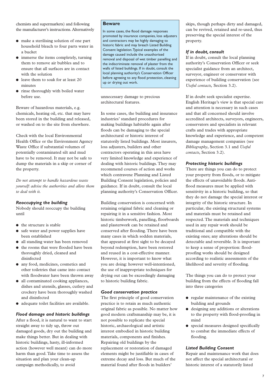chemists and supermarkets) and following the manufacturer's instructions. Alternatively

- make a sterilising solution of one part household bleach to four parts water in a bucket
- immerse the items completely, turning them to remove air bubbles and to ensure that all surfaces are in contact with the solution
- leave them to soak for at least 20 minutes
- rinse thoroughly with boiled water before use.

Beware of hazardous materials, e.g. chemicals, heating oil, etc. that may have been stored in the building and released, or washed on to the site from elsewhere.

Check with the local Environmental Health Office or the Environment Agency Waste Office if substantial volumes of potentially contaminated silt and mud have to be removed. It may not be safe to dump the materials in a skip or corner of the property.

*Do not attempt to handle hazardous waste yourself: advise the authorities and allow them to deal with it.*

#### *Reoccupying the building*

Nobody should reoccupy the building until

- the structure is stable
- safe water and power supplies have been established
- all standing water has been removed
- the rooms that were flooded have been thoroughly dried, cleaned and disinfected
- any food, medicines, cosmetics and other toiletries that came into contact with floodwater have been thrown away
- all contaminated cooking appliances, dishes and utensils, glasses, cutlery and crockery have been thoroughly washed and disinfected
- adequate toilet facilities are available.

## *Flood damage and historic buildings*

After a flood, it is natural to want to start straight away to tidy up, throw out damaged goods, dry out the building and make things better. But in dealing with historic buildings, hasty, ill-informed action (however well meant) can do more harm than good. Take time to assess the situation and plan your clean-up campaign methodically, to avoid

## **Beware**

In some cases, the flood damage responses promoted by insurance companies, loss adjusters and contractors may be highly damaging to historic fabric and may breach Listed Building Consent legislation.Typical examples of the damage caused include the unauthorised removal and disposal of wet timber panelling and the indiscriminate removal of plaster from the walls of listed buildings. If in doubt, consult the local planning authority's Conservation Officer before agreeing to any flood protection, cleaning up or drying out work.

unnecessary damage to precious architectural features.

In some cases, the building and insurance industries' standard procedures for making buildings habitable again after floods can be damaging to the special architectural or historic interest of statutorily listed buildings. Most insurers, loss adjusters, builders and other contractors operating in this area have very limited knowledge and experience of dealing with historic buildings. They may recommend courses of action and works which contravene Planning and Listed Building Consent legislation, policies and guidance. If in doubt, consult the local planning authority's Conservation Officer.

Building conservation is concerned with retaining original fabric and cleaning or repairing it in a sensitive fashion. Most historic timberwork, panelling, floorboards and plasterwork can be retained and conserved after flooding. There have been many cases in which sodden materials, that appeared at first sight to be decayed beyond redemption, have been restored and reused in a cost-effective manner. However, it is important to know what you are doing: however well-intentioned, the use of inappropriate techniques for drying out can be exceedingly damaging to historic building fabric.

#### *Good conservation practice*

The first principle of good conservation practice is to retain as much authentic original fabric as possible. No matter how good modern craftsmanship may be, it is not possible to replicate the special historic, archaeological and artistic interest embodied in historic building materials, components and finishes. Repairing old buildings by the replacement or restoration of damaged elements might be justifiable in cases of extreme decay and loss. But much of the material found after floods in builders'

skips, though perhaps dirty and damaged, can be revived, retained and re-used, thus preserving the special interest of the property.

## *If in doubt, consult*

If in doubt, consult the local planning authority's Conservation Officer or seek specialist guidance from an architect, surveyor, engineer or conservator with experience of building conservation (see *Useful contacts,* Section 3.2).

If in doubt seek specialist expertise. English Heritage's view is that special care and attention is necessary in such cases and that all concerned should involve accredited architects, surveyors, engineers, conservators and specialists in relevant crafts and trades with appropriate knowledge and experience, and competent damage management companies (see *Bibliography*, Section 3.1 and *Useful contacts*, Section 3.2).

#### *Protecting historic buildings*

There are things you can do to protect your property from floods, or to mitigate the effects of unavoidable floods. Antiflood measures must be applied with sensitivity in a historic building, so that they do not damage the special interest or integrity of the historic structure. In particular, the existing structural systems and materials must be retained and respected. The materials and techniques used in any repair work should be traditional and compatible with the existing ones; any alterations should be detectable and reversible. It is important to keep a sense of proportion: floodproofing works should be designed according to realistic assessments of the likelihood and severity of flooding.

The things you can do to protect your building from the effects of flooding fall into three categories

- regular maintenance of the existing building and grounds
- designing any additions or alterations to the property with flood-proofing in mind
- special measures designed specifically to combat the immediate effects of flooding.

## *Listed Building Consent*

Repair and maintenance work that does not affect the special architectural or historic interest of a statutorily listed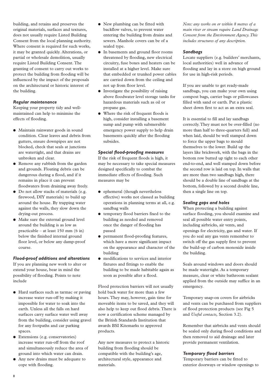building, and retains and preserves the original materials, surfaces and textures, does not usually require Listed Building Consent from the local planning authority. Where consent is required for such works, it may be granted quickly. Alterations, or partial or wholesale demolition, usually require Listed Building Consent. The granting of consent to carry out works to protect the building from flooding will be influenced by the impact of the proposals on the architectural or historic interest of the building.

## *Regular maintenance*

Keeping your property tidy and wellmaintained can help to minimise the effects of flooding.

- Maintain rainwater goods in sound condition. Clear leaves and debris from gutters, ensure downpipes are not blocked, check that seals at junctions are watertight, and that drains are unbroken and clear.
- Remove any rubbish from the garden and grounds. Floating debris can be dangerous during a flood, and if it remains in place it can prevent floodwaters from draining away freely.
- Do not allow stacks of materials (e.g. firewood, DIY materials) to build up around the house. By trapping water against the walls, they slow down the drying-out process.
- Make sure the external ground level around the building is as low as practicable – at least 150 mm (6 in) below the finished internal ground floor level, or below any damp-proof course.

# *Flood-proof additions and alterations*

If you are planning new work to alter or extend your house, bear in mind the possibility of flooding. Points to note include

- Hard surfaces such as tarmac or paving increase water run-off by making it impossible for water to soak into the earth. Unless all the falls on hard surfaces carry surface water well away from the building, consider using gravel for any footpaths and car parking spaces.
- Extensions (e.g. conservatories) increase water run-off from the roof and simultaneously reduce the area of ground into which water can drain.
- Any new drains must be adequate to cope with flooding.
- New plumbing can be fitted with backflow valves, to prevent water entering the building from drains and sewers. Manhole covers can be of a sealed type.
- In basements and ground floor rooms threatened by flooding, new electrical circuitry, fuse boxes and heaters can be installed at a higher level. Make sure that embedded or trunked power cables are carried down from the ceiling and not up from floor level.
- Investigate the possibility of raising above floodwater level storage tanks for hazardous materials such as oil or propane gas.
- Where the risk of frequent floods is high, consider installing a basement sump and pump with submersible emergency power supply to help drain basements quickly after the flooding subsides.

## *Special flood-proofing measures*

If the risk of frequent floods is high, it may be necessary to take special measures designed specifically to combat the immediate effects of flooding. Such measures may be

- ephemeral (though nevertheless effective) works not classed as building operations in planning terms at all, e.g. sandbag walls
- temporary flood barriers fixed to the building as needed and removed once the danger of flooding has passed
- permanent flood-proofing features, which have a more significant impact on the appearance and character of the building
- modifications to services and interior fixtures and fittings to enable the building to be made habitable again as soon as possible after a flood.

Flood protection barriers will not usually hold back water for more than a few hours. They may, however, gain time for moveable items to be saved, and they will also help to keep out flood debris. There is now a certification scheme managed by the British Standards Institution that awards BSI Kitemarks to approved products.

Any new measures to protect a historic building from flooding should be compatible with the building's age, architectural style, appearance and materials.

*Note: any works on or within 8 metres of a main river or stream require Land Drainage Consent from the Environment Agency.This includes structures of any description.*

# *Sandbags*

Locate suppliers (e.g. builders' merchants, local authorities) well in advance of flooding and lay in a store on high ground for use in high-risk periods.

If you are unable to get ready-made sandbags, you can make your own using compost bags, carrier bags or pillowcases filled with sand or earth. Put a plastic sheet down first to act as an extra seal.

It is essential to fill and lay sandbags correctly.They must not be over-filled (no more than half to three-quarters full) and when laid, should be well stamped down to force the upper bags to mould themselves to the lower. Build up the layers like brickwork, with the bags in the bottom row butted up tight to each other end-to-end, and well stamped down before the second row is laid on top. In walls that are more than two sandbags high, there should be a double line of sandbags at the bottom, followed by a second double line, then a single line on top.

## *Sealing gaps and holes*

When protecting a building against surface flooding, you should examine and seal all possible water entry points, including airbricks, air vents, and openings for electricity, gas and water. If you do seal any gas vents remember to switch off the gas supply first to prevent the build-up of carbon monoxide inside the building.

Seals around windows and doors should be made watertight. As a temporary measure, clear or white bathroom sealant applied from the outside may suffice in an emergency.

Temporary snap-on covers for airbricks and vents can be purchased from suppliers of flood protection products (see Fig 5 and *Useful contacts,* Section 3.2).

Remember that airbricks and vents should be sealed only during flood conditions and then removed to aid drainage and later provide permanent ventilation.

# *Temporary flood barriers*

Temporary barriers can be fitted to exterior doorways or window openings to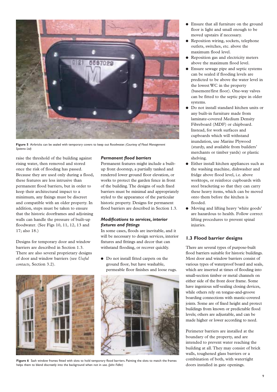

**Figure 5** Airbricks can be sealed with temporary covers to keep out floodwater. *(Courtesy of Flood Management Systems Ltd)*

raise the threshold of the building against rising water, then removed and stored once the risk of flooding has passed. Because they are used only during a flood, these features are less intrusive than permanent flood barriers, but in order to keep their architectural impact to a minimum, any fixings must be discreet and compatible with an older property. In addition, steps must be taken to ensure that the historic doorframes and adjoining walls can handle the pressure of built-up floodwater. (See Figs 10, 11, 12, 13 and 17; also 18.)

Designs for temporary door and window barriers are described in Section 1.3. There are also several proprietary designs of door and window barriers (see *Useful contacts,* Section 3.2).



#### *Permanent flood barriers*

Permanent features might include a builtup front doorstep, a partially tanked and rendered lower ground floor elevation, or works to protect the garden fence in front of the building.The designs of such fixed barriers must be minimal and appropriately styled to the appearance of the particular historic property. Designs for permanent flood barriers are described in Section 1.3.

## *Modifications to services, interior fixtures and fittings*

In some cases, floods are inevitable, and it will be necessary to design services, interior fixtures and fittings and decor that can withstand flooding, or recover quickly.

● Do not install fitted carpets on the ground floor, but have washable, permeable floor finishes and loose rugs.



**Figure 6** Sash window frames fitted with slots to hold temporary flood barriers. Painting the slots to match the frames helps them to blend discreetly into the background when not in use. *(John Fidler)*

- Ensure that all furniture on the ground floor is light and small enough to be moved upstairs if necessary.
- Reposition wiring, sockets, telephone outlets, switches, etc. above the maximum flood level.
- Reposition gas and electricity meters above the maximum flood level.
- Ensure sewage pipe and septic systems can be sealed if flooding levels are predicted to be above the water level in the lowest WC in the property (basement/first floor). One-way valves can be fitted to the septic pipe in older systems.
- Do not install standard kitchen units or any built-in furniture made from laminate-covered Medium Density Fibreboard (MDF) or chipboard. Instead, for work surfaces and cupboards which will withstand inundation, use Marine Plywood (sturdy, and available from builders' merchants or timber yards) or plastic shelving.
- Either install kitchen appliances such as the washing machine, dishwasher and fridge above flood level, i.e. above worktops, or reinforce cupboards with steel bracketing so that they can carry these heavy items, which can be moved onto them before the kitchen is flooded.
- Moving and lifting heavy 'white goods' are hazardous to health. Follow correct lifting procedures to prevent spinal injuries.

## **1.3 Flood barrier designs**

There are several types of purpose-built flood barriers suitable for historic buildings. Most door and window barriers consist of various types of waterproof board and seals, which are inserted at times of flooding into small-section timber or metal channels on either side of the front door frame. Some have ingenious self-sealing closing devices, while others rely on tongue-and-groove boarding connections with mastic-covered joints. Some are of fixed height and protect buildings from known or predictable flood levels; others are adjustable, and can be made higher or lower according to need.

Perimeter barriers are installed at the boundary of the property, and are intended to prevent water reaching the building at all. They may consist of brick walls, toughened glass barriers or a combination of both, with watertight doors installed in gate openings.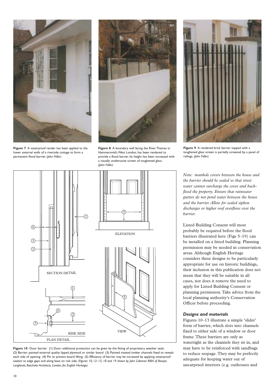

**Figure 7** A waterproof render has been applied to the lower external walls of a riverside cottage to form a permanent flood barrier. *(John Fidler)*



**Figure 8** A boundary wall facing the River Thames in Hammersmith,West London, has been rendered to provide a flood barrier. Its height has been increased with a visually unobtrusive screen of toughened glass. (*John Fidler)*



**Figure 9** A rendered brick barrier topped with a toughened glass screen is partially screened by a panel of railings. *(John Fidler)*





*Note: manhole covers between the house and the barrier should be sealed so that street water cannot surcharge the cover and backflood the property. Ensure that rainwater gutters do not pond water between the house and the barrier. Allow for sealed siphon discharges or higher roof overflows over the barrier.*

Listed Building Consent will most probably be required before the flood barriers illustrated here (Figs 5–19) can be installed on a listed building. Planning permission may be needed in conservation areas. Although English Heritage considers these designs to be particularly appropriate for use on historic buildings, their inclusion in this publication does not mean that they will be suitable in all cases, nor does it remove the need to apply for Listed Building Consent or planning permission. Take advice from the local planning authority's Conservation Officer before proceeding.

#### *Designs and materials*

Figures 10–13 illustrate a simple 'slider' form of barrier, which slots into channels fixed to either side of a window or door frame. These barriers are only as watertight as the channels they sit in, and may have to be reinforced with sandbags to reduce seepage. They may be perfectly adequate for keeping water out of uncarpeted interiors (e.g. outhouses and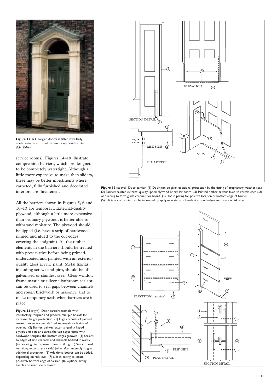

**Figure 11** A Georgian doorcase fitted with fairly unobtrusive slots to hold a temporary flood barrier *(John Fidler)*

service rooms). Figures 14–19 illustrate compression barriers, which are designed to be completely watertight. Although a little more expensive to make than sliders, these may be better investments where carpeted, fully furnished and decorated interiors are threatened.

All the barriers shown in Figures 5, 6 and 10–13 are temporary. External-quality plywood, although a little more expensive than ordinary plywood, is better able to withstand moisture. The plywood should be lipped (i.e. have a strip of hardwood pinned and glued to the cut edges, covering the endgrain). All the timber elements in the barriers should be treated with preservative before being primed, undercoated and painted with an exteriorquality gloss acrylic paint. Metal fixings, including screws and pins, should be of galvanised or stainless steel. Clear window frame mastic or silicone bathroom sealant can be used to seal gaps between channels and rough brickwork or masonry, and to make temporary seals when barriers are in place.

**Figure 13** (right) Door barrier: example with interlocking tongued and grooved multiple boards for increased height protection (1) High channels of painted, treated timber (or metal) fixed to reveals each side of opening (2) Barrier: painted external quality lipped plywood or similar boards, the top edges fitted with hardwood tongues, the bottom edges grooved (3) Sealant to edges of side channels and channels bedded in mastic (4) Locating pin to prevent boards lifting (5) Sealant bead run along external (risk side) joints after assembly to give additional protection (6) Additional boards can be added, depending on risk level (7) Slot in paving to locate positively bottom edge of barrier (8) Optional lifting handles on rear face of boards



**Figure 12** (above) Door barrier (1) Door: can be given additional protection by the fitting of proprietary weather seals (2) Barrier: painted external quality lipped plywood or similar board (3) Painted timber battens fixed to reveals each side of opening to form guide channels for board (4) Slot in paving for positive location of bottom edge of barrier (5) Efficiency of barrier can be increased by applying waterproof sealant around edges and base on risk side.

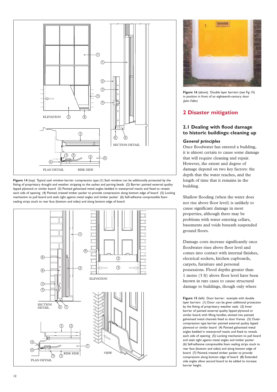

**Figure 14** (top) Typical sash window barrier: compression type (1) Sash window: can be additionally protected by the fitting of proprietary draught and weather stripping to the sashes and parting beads (2) Barrier: painted external quality lipped plywood or similar board (3) Painted galvanised metal angles bedded in waterproof mastic and fixed to reveals each side of opening (4) Painted, treated timber packer to provide compression along bottom edge of board (5) Locking mechanism to pull board and seals tight against metal angles and timber packer (6) Self-adhesive compressible foam sealing strips stuck to rear face (bottom and sides) and along bottom edge of board





Figure 16 (above) Double layer barriers (see Fig 15) in position in front of an eighteenth-century door *(John Fidler)*

# **2 Disaster mitigation**

# **2.1 Dealing with flood damage to historic buildings: cleaning up**

## *General principles*

Once floodwater has entered a building, it is almost certain to cause some damage that will require cleaning and repair. However, the extent and degree of damage depend on two key factors: the depth that the water reaches, and the length of time that it remains in the building.

Shallow flooding (when the water does not rise above floor level) is unlikely to cause significant damage in most properties, although there may be problems with water entering cellars, basements and voids beneath suspended ground floors.

Damage costs increase significantly once floodwater rises above floor level and comes into contact with internal finishes, electrical sockets, kitchen cupboards, carpets, furniture and personal possessions. Flood depths greater than 1 metre (3 ft) above floor level have been known in rare cases to cause structural damage to buildings, though only where

Figure 15 (left) Door barrier: example with double layer barriers (1) Door: can be given additional protection by the fitting of proprietary weather seals (2) Inner barrier of painted external quality lipped plywood or similar board, with lifting handles, slotted into painted galvanised metal channels fixed to door frames (3) Outer compression type barrier: painted external quality lipped plywood or similar board (4) Painted galvanised metal angles bedded in waterproof mastic and fixed to reveals each side of opening (5) Locking mechanism to pull board and seals tight against metal angles and timber packer (6) Self-adhesive compressible foam sealing strips stuck to rear face (bottom and sides) and along bottom edge of board (7) Painted, treated timber packer to provide compression along bottom edge of board (8) Extended side angles allow second board to be added to increase barrier height.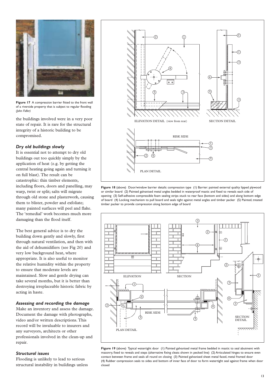

**Figure 17** A compression barrier fitted to the front wall of a riverside property that is subject to regular flooding *(John Fidler)*

the buildings involved were in a very poor state of repair. It is rare for the structural integrity of a historic building to be compromised.

#### *Dry old buildings slowly*

It is essential not to attempt to dry old buildings out too quickly simply by the application of heat (e.g. by getting the central heating going again and turning it on full blast).The result can be catastrophic: thin timber elements, including floors, doors and panelling, may warp, twist or split; salts will migrate through old stone and plasterwork, causing them to blister, powder and exfoliate; many painted surfaces will peel and flake. The 'remedial' work becomes much more damaging than the flood itself.

The best general advice is to dry the building down gently and slowly, first through natural ventilation, and then with the aid of dehumidifiers (see Fig 20) and very low background heat, where appropriate. It is also useful to monitor the relative humidity within the property to ensure that moderate levels are maintained. Slow and gentle drying can take several months, but it is better than destroying irreplaceable historic fabric by acting in haste.

## *Assessing and recording the damage*

Make an inventory and assess the damage. Document the damage with photographs, video and/or written descriptions. This record will be invaluable to insurers and any surveyors, architects or other professionals involved in the clean-up and repair.

#### *Structural issues*

Flooding is unlikely to lead to serious structural instability in buildings unless



**Figure 18** (above) Door/window barrier details: compression type (1) Barrier: painted external quality lipped plywood or similar board (2) Painted galvanised metal angles bedded in waterproof mastic and fixed to reveals each side of opening (3) Self-adhesive compressible foam sealing strips stuck to rear face (bottom and sides) and along bottom edge of board (4) Locking mechanism to pull board and seals tight against metal angles and timber packer (5) Painted, treated timber packer to provide compression along bottom edge of board



**Figure 19** (above) Typical watertight door (1) Painted galvanised metal frame bedded in mastic to seal abutment with masonry, fixed to reveals and steps (alternative fixing cleats shown in pecked line) (2) Articulated hinges to ensure even contact between frame and seals all round on closing (3) Painted galvanised sheet metal faced, metal framed door (4) Rubber compression seals to sides and bottom of inner face of door to form watertight seal against frame when door closed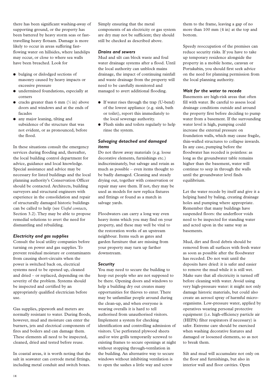there has been significant washing-away of supporting ground, or the property has been battered by heavy storm seas or fasttravelling heavy flotsam. Damage is more likely to occur in areas suffering fastflowing water on hillsides, where landslips may occur, or close to where sea walls have been breached. Look for

- bulging or dislodged sections of masonry caused by heavy impacts or excessive pressure
- undermined foundations, especially at corners
- cracks greater than 6 mm  $(^{1}/_{4}$  in) above doors and windows and at the ends of facades
- any major leaning, tilting and subsidence of the structure that was not evident, or as pronounced, before the flood.

In these situations consult the emergency services during flooding and, thereafter, the local building control department for advice, guidance and local knowledge. Special assistance and advice may be necessary for listed buildings and the local planning authority's Conservation Officer should be contacted. Architects, building surveyors and structural engineers with experience in the consolidation and repair of structurally damaged historic buildings can be called to help (see *Useful contacts,* Section 3.2). They may be able to propose remedial solutions to avert the need for dismantling and rebuilding.

#### *Electricity and gas supplies*

Consult the local utility companies before turning on power and gas supplies. To prevent residual moisture or contaminants from causing short-circuits when the power is switched back on, electrical systems need to be opened up, cleaned and dried – or replaced, depending on the severity of the problem. Systems should be inspected and certified by an appropriately qualified electrician before use.

Gas supplies, pipework and meters are normally resistant to water. During floods, however, mud and moisture can enter the burners, jets and electrical components of fires and boilers and can damage them. These elements all need to be inspected, cleaned, dried and tested before reuse.

In coastal areas, it is worth noting that the salt in seawater can corrode metal fittings, including metal conduit and switch boxes.

Simply ensuring that the metal components of an electricity or gas system are dry may not be sufficient; they should still be checked as described above.

#### *Drains and sewers*

Mud and silt can block waste and foul water drainage systems after a flood. Until the local authority can unblock mains drainage, the impact of continuing rainfall and waste drainage from the property will need to be carefully monitored and managed to avert additional flooding.

- If water rises through the trap (U-bend) of the lowest appliance (e.g. sink, bath or toilet), report this immediately to the local sewerage authority.
- Flush sinks and toilets regularly to help rinse the system.

## *Salvaging detached and damaged items*

Do not throw away materials (e.g. loose decorative elements, furnishings etc.) indiscriminately, but salvage and retain as much as possible – even items thought to be badly damaged. Cleaning and steady drying out, together with conservation or repair may save them. If not, they may be used as models for new replica fixtures and fittings or found as a match in salvage yards.

Floodwaters can carry a long way even heavy items which you may find on your property, and these may well be vital to the restoration works of an upstream neighbour. Items such as gates and garden furniture that are missing from your property may turn up farther downstream.

## *Security*

You may need to secure the building to keep out people who are not supposed to be there. Opening doors and windows to help a building dry out creates many opportunities for thieves to enter. There may be unfamiliar people around during the clean-up, and when everyone is wearing overalls it is hard to tell authorised from unauthorised visitors. Implement a system for checking identification and controlling admission of visitors. Use perforated plywood sheets and/or wire grills temporarily screwed to existing frames to secure openings at night without stopping through-ventilation in the building. An alternative way to secure windows without inhibiting ventilation is to open the sashes a little way and screw

them to the frame, leaving a gap of no more than 100 mm (4 in) at the top and bottom.

Speedy reoccupation of the premises can reduce security risks. If you have to take up temporary residence alongside the property in a mobile home, caravan or Portakabin, you should first seek advice on the need for planning permission from the local planning authority.

#### *Wait for the water to recede*

Basements are high-risk areas that often fill with water. Be careful to assess local drainage conditions outside and around the property first before deciding to pump water from a basement. If the surrounding water level is high, pumping could increase the external pressure on foundation walls, which may cause fragile, thin-walled structures to collapse inwards. In any case, pumping before the floodwater has receded is pointless: as long as the groundwater table remains higher than the basement, water will continue to seep in through the walls until the groundwater level finds equilibrium.

Let the water recede by itself and give it a helping hand by baling, creating drainage holes and pumping where appropriate. Remember that many buildings have suspended floors: the underfloor voids need to be inspected for standing water and acted upon in the same way as basements.

Mud, dirt and flood debris should be removed from all surfaces with fresh water as soon as possible after the floodwater has receded. Do not wait until the deposits have dried: it is safer and easier to remove the mud while it is still wet. Make sure that all electricity is turned off before cleaning with water. Avoid using very high-pressure water: it might not only damage historic materials, but could also create an aerosol spray of harmful microorganisms. Low-pressure water, applied by operatives wearing personal protective equipment (i.e. high-efficiency particle air (HEPA) filter respirators if necessary) is safer. Extreme care should be exercised when washing decorative features and damaged or loosened elements, so as not to break them.

Silt and mud will accumulate not only on the floor and furnishings, but also in interior wall and floor cavities. Open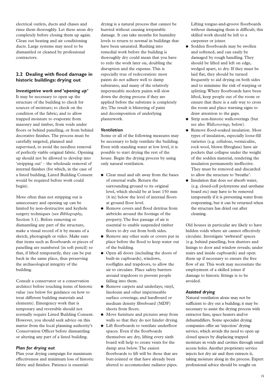electrical outlets, ducts and chases and rinse them thoroughly. Let these areas dry completely before closing them up again. Clean out heating and air conditioning ducts. Large systems may need to be dismantled or cleaned by professional contractors.

# **2.2 Dealing with flood damage in historic buildings: drying out**

#### *Investigative work and 'opening up'*

It may be necessary to open up the structure of the building to check for sources of moisture; to check on the condition of the fabric; and to allow trapped moisture to evaporate from masonry and timber, from voids under floors or behind panelling, or from behind decorative finishes. The process must be carefully targeted, planned and supervised, to avoid the needless removal of perfectly viable original fabric. Opening up should not be allowed to develop into 'stripping out' – the wholesale removal of internal finishes (for which, in the case of a listed building, Listed Building Consent would be required before work could begin).

More often than not stripping out is unnecessary and opening up can be limited by non-destructive and keyhole surgery techniques (see *Bibliography,* Section 3.1). Before removing or dismantling any part of the structure, make a visual record of it by means of a sketch, photograph or video. Make sure that items such as floorboards or pieces of panelling are numbered (in soft pencil) so that, if lifted temporarily, they can be put back in the same place, thus preserving the archaeological integrity of the building.

Consult a conservator or a conservation architect before touching items of historic value (see below for guidance on how to treat different building materials and elements). Emergency work that is temporary and reversible should not normally require Listed Building Consent. However, you should seek advice on this matter from the local planning authority's Conservation Officer before dismantling or altering any part of a listed building.

## *Plan for drying out*

Plan your drying campaign for maximum effectiveness and minimum loss of historic fabric and finishes. Patience is essential:

drying is a natural process that cannot be hurried without causing irreparable damage. It can take months for humidity levels to return to normal in buildings that have been saturated. Rushing into remedial work before the building is thoroughly dry could mean that you have to redo the work later on, doubling the disruption and the expense. This is especially true of redecoration: most paints do not adhere well to damp substrates, and many of the relatively impermeable modern paints will slow down the drying process if they are applied before the substrate is completely dry. The result is blistering of paint and decomposition of underlying plasterwork.

#### *Ventilation*

Some or all of the following measures may be necessary to help ventilate the building. Even with standing water at low level, it is possible to start drying the rest of the house. Begin the drying process by using only natural ventilation.

- Clear mud and silt away from the bases of external walls. Return the surrounding ground to its original level, which should be at least 150 mm (6 in) below the level of internal floors at ground floor level.
- Remove covers and flood detritus from airbricks around the footings of the property. The free passage of air is essential to enable suspended timber floors to dry out from both sides.
- Remove any other seals or covers put in place before the flood to keep water out of the building.
- Open all doors (including the doors of built-in cupboards), windows, rooflights and trapdoors, to allow the air to circulate. Place safety barriers around trapdoors to prevent people falling into them.
- Remove carpets and underlays; vinyl, linoleum and other impermeable surface coverings; and hardboard or medium density fibreboard (MDF) sheets from floors.
- Move furniture and pictures away from walls so that they do not hinder drying.
- Lift floorboards to ventilate underfloor spaces. Even if the floorboards themselves are dry, lifting every sixth board will help to create vents for the damp area below. The easiest floorboards to lift will be those that are butt-jointed or that have already been altered to accommodate radiator pipes.

Lifting tongue-and-groove floorboards without damaging them is difficult; this skilled work should be left to a carpenter or joiner.

- Sodden floorboards may be swollen and softened, and can easily be damaged by rough handling. They should be lifted and left on edge, wedged apart, to dry. If they must be laid flat, they should be turned frequently to aid drying on both sides and to minimise the risk of warping or splitting. Where floorboards have been lifted, keep people out of the room or ensure that there is a safe way to cross the room and place warning signs to draw attention to the gaps.
- Strip non-historic wallcoverings (but see also *Wallcoverings,* below).
- Remove flood-soaked insulation. Most types of insulation, especially loose-fill varieties (e.g. cellulose, vermiculite, rock wool, blown fibreglass) have air pockets that collapse under the weight of the sodden material, rendering the insulation permanently ineffective. They must be removed and discarded to allow the structure to 'breathe'.
- Insulation that does *not* absorb water, (e.g. closed-cell polystyrene and urethane board etc) may have to be removed temporarily if it is preventing water from evaporating, but it can be returned when the structure has dried out after cleaning.

Old houses in particular are likely to have hidden voids where air cannot effectively circulate. Investigate 'awkward' spaces (e.g. behind panelling, box shutters and linings to door and window reveals; under stairs and inside cupboards) and open them up if necessary to ensure the free flow of air. This work may necessitate the employment of a skilled joiner if damage to historic fittings is to be avoided.

## *Assisted drying*

Natural ventilation alone may not be sufficient to dry out a building; it may be necessary to assist the drying process with extractor fans, space heaters and/or dehumidifiers. Some specialist drying companies offer an 'injection' drying service, which avoids the need to open up closed spaces by displacing trapped moisture in voids and cavities through small access holes. Another proprietary service injects hot dry air and then extracts it, taking moisture along in the process. Expert professional advice should be sought on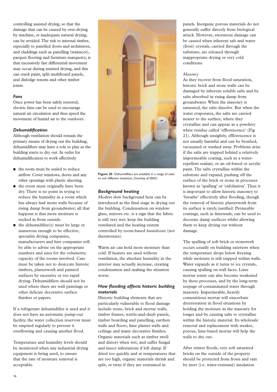controlling assisted drying, so that the damage that can be caused by over-drying by machine, or inadequate natural drying, can be avoided.The risk to internal timber, especially to panelled doors and architraves, and claddings such as panelling (wainscot), parquet flooring and furniture marquetry, is that excessively fast differential movement may occur during assisted drying, and this can crack paint, split multiboard panels, and dislodge tenons and other timber joints.

#### *Fans*

Once power has been safely restored, electric fans can be used to encourage natural air circulation and thus speed the movement of humid air to the outdoors.

#### *Dehumidification*

Although ventilation should remain the primary means of drying out the building, dehumidifiers may have a role to play as the building starts to dry out. In order for dehumidification to work effectively

- the room must be sealed to reduce airflow. Cover windows, doors and any other openings with plastic sheeting.
- the room must originally have been dry. There is no point in trying to reduce the humidity in a room which has always had moist walls because of rising damp from groundwater; all that happens is that more moisture is sucked in from outside.
- the dehumidifier(s) must be large or numerous enough to be effective; specialist drying companies, manufacturers and hire companies will be able to advise on the appropriate numbers and sizes for the volumetric capacity of the rooms involved. Care must be taken not to desiccate historic timbers, plasterwork and painted surfaces by excessive or too rapid drying. Dehumidifiers should not be used where there are wall paintings or other delicate decorative surface finishes or papers.

If a refrigerant dehumidifier is used and it does not have an automatic pump-out facility, the water collection reservoir must be emptied regularly to prevent it overflowing and causing another flood.

Temperature and humidity levels should be monitored when any industrial drying equipment is being used, to ensure that the rate of moisture removal is acceptable.



**Figure 20** Dehumidifiers are available in a range of sizes to suit different situations. *(Courtesy of EBAC)*

## *Background heating*

Modest slow background heat can be introduced as the final stage in drying out the building. Condensation on window glass, mirrors etc. is a sign that the fabric is still very wet; keep the building ventilated and the heating system controlled by room-based *humidistats* (not thermostats).

Warm air can hold more moisture than cold. If heaters are used without ventilation, the absolute humidity in the interior may actually increase, creating condensation and making the situation worse.

## *How flooding affects historic building materials*

Historic building elements that are particularly vulnerable to flood damage include stone, brick and mortar walls, timber frames, wattle-and-daub panels, timber boarding and panelling, earthen walls and floors, lime plaster walls and ceilings and many decorative finishes. Organic materials such as timber swell and distort when wet, and suffer fungal and insect infestations if left damp. If dried too quickly and at temperatures that are too high, organic materials shrink and split, or twist if they are restrained in

panels. Inorganic porous materials do not generally suffer directly from biological attack. However, enormous damage can be caused when inherent salt and water (frost) crystals, carried through the substrate, are released through inappropriate drying or very cold conditions.

#### *Masonry*

As they recover from flood saturation, historic brick and stone walls can be damaged by inherent soluble salts and by salts absorbed in rising damp from groundwater. When the masonry is saturated, the salts dissolve. But when the water evaporates, the salts are carried nearer to the surface, where they crystallise and can appear as a powdery white residue called 'efflorescence' (Fig 21). Although unsightly, efflorescence is not usually harmful and can be brushed, vacuumed or washed away. Problems arise if the salts are trapped behind a relatively impermeable coating, such as a waterrepellent sealant, or an oil-based or acrylic paint. The salts crystallise within the substrate and expand, pushing off the surface of the brick or stone in processes known as 'spalling' or 'exfoliation'. Thus it is important to allow historic masonry to 'breathe' effectively after flooding, though the removal of historic plasterwork from its surface is rarely justified. Permeable coatings, such as limewash, can be used to decorate damp surfaces whilst allowing them to keep drying out without damage.

The spalling of soft brick or stonework occurs usually on building exteriors when the temperature drops below freezing while moisture is still trapped within walls. Water expands as it turns to ice crystals, causing spalling on wall faces. Lime mortar joints can also become weakened by these processes, and by the long-term seepage of contaminated water through masonry. Impermeable, heavily cementitious mortar will exacerbate deterioration in flood situations by holding the moisture in the masonry for longer and by causing salts to crystallise within the historic material. Its wholesale removal and replacement with weaker, porous, lime-based mortar will help the walls to dry out.

After winter floods, very soft saturated bricks on the outside of the property should be protected from frosts and rain by inert (i.e. water-resistant) insulation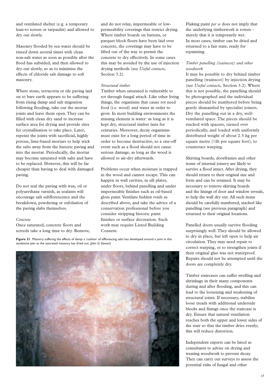and ventilated shelter (e.g. a temporary lean-to screen or tarpaulin) and allowed to dry out slowly.

Masonry flooded by sea water should be rinsed down several times with clean non-salt water as soon as possible after the flood has subsided, and then allowed to dry out slowly, so as to minimise the effects of chloride salt damage to soft masonry.

Where stone, terracotta or tile paving laid on to bare earth appears to be suffering from rising damp and salt migration following flooding, rake out the mortar joints and leave them open. They can be filled with clean dry sand to increase surface area for drying and provide sites for crystallisation to take place. Later, repoint the joints with sacrificial, highly porous, lime-based mortars to help wick the salts away from the historic paving and into the mortar. Periodically, the mortar may become saturated with salts and have to be replaced. However, this will be far cheaper than having to deal with damaged paving.

Do not seal the paving with wax, oil or polyurethane varnish, as sealants will encourage salt subflorescence and the breakdown, powdering or exfoliation of the paving slabs themselves.

#### *Concrete*

Once saturated, concrete floors and screeds take a long time to dry. Remove, and do not relay, impermeable or lowpermeability coverings that restrict drying. Where timber boards on battens, or parquet block floors have been laid over concrete, the coverings may have to be lifted out of the way to permit the concrete to dry effectively. In some cases this may be avoided by the use of injection drying methods (see *Useful contacts,* Section 3.2).

#### *Structural timber*

Timber when saturated is vulnerable to rot through fungal attack. Like other living things, the organisms that cause rot need food (i.e. wood) and water in order to grow. In most building environments the missing element is water: as long as it is kept dry, structural timber lasts for centuries. Moreover, decay organisms must exist for a long period of time in order to become destructive, so a one-off event such as a flood should not cause serious damage, as long as the wood is allowed to air-dry afterwards.

Problems occur when moisture is trapped in the wood and cannot escape. This can happen in wall cavities, in sill plates, under floors, behind panelling and under impermeable finishes such as oil-based gloss paint. Ventilate hidden voids as described above, and take the advice of a conservation professional before you consider stripping historic paint finishes or surface decoration. Such work may require Listed Building Consent.

**Figure 21** Masonry suffering the effects of damp: a 'cushion' of efflorescing salts has developed around a joint in this sandstone pier as the saturated masonry has dried out. *(John D. Stewart)*



Flaking paint *per se* does not imply that the underlying timberwork is rotten – merely that it is temporarily wet. In most cases, timber can be dried and returned to a fair state, ready for repainting.

#### *Timber panelling (wainscot) and other woodwork*

It may be possible to dry behind timber panelling (wainscot) by injection drying (see *Useful contacts,* Section 3.2). Where this is not possible, the panelling should be photographed and the individual pieces should be numbered before being gently dismantled by specialist joiners. Dry the panelling out in a dry, wellventilated space. The pieces should be stacked with spacers, turned over periodically, and loaded with uniformly distributed weight of about 2.5 kg per square metre (1/2lb per square foot), to counteract warping.

Skirting boards, doorframes and other items of internal joinery are likely to survive a flood intact. After drying, they should return to their original size and form and can be retained. It may be necessary to remove skirting boards and the linings of door and window reveals, to help the wall dry out. All such items should be carefully numbered, stacked like panelling (see previous paragraph) and returned to their original locations.

Panelled doors usually survive flooding surprisingly well. They should be allowed to dry in place, but left open to help air circulation. They may need repair to correct warping, or to strengthen joints if their original glue was not waterproof. Repairs should not be attempted until the doors are completely dry.

Timber staircases can suffer swelling and shrinkage in their many components during and after flooding, and this can lead to the loosening and weakening of structural joints. If necessary, stabilise loose treads with additional underside blocks and fixings once the staircase is dry. Ensure that natural ventilation reaches both the upper and lower sides of the stair so that the timber dries evenly; this will reduce distortion.

Independent experts can be hired as consultants to advise on drying and treating woodwork to prevent decay. They can carry out surveys to assess the potential risks of fungal and other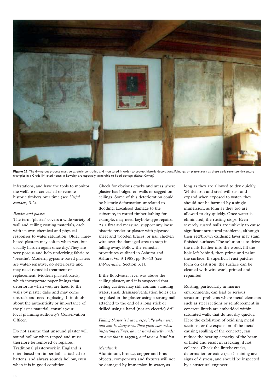

Figure 22 The drying-out process must be carefully controlled and monitored in order to protect historic decorations. Paintings on plaster, such as these early seventeenth-century examples in a Grade II\*-listed house in Bewdley, are especially vulnerable to flood damage. *(Robert Gowing)*

infestations, and have the tools to monitor the welfare of concealed or remote historic timbers over time (see *Useful contacts,* 3.2).

#### *Render and plaster*

The term 'plaster' covers a wide variety of wall and ceiling coating materials, each with its own chemical and physical responses to water saturation. Older, limebased plasters may soften when wet, but usually harden again once dry. They are very porous and help underlying fabric to 'breathe'. Modern, gypsum-based plasters are water-sensitive, do deteriorate and may need remedial treatment or replacement. Modern plasterboards, which incorporate paper linings that deteriorate when wet, are fixed to the walls by plaster dabs and may come unstuck and need replacing. If in doubt about the authenticity or importance of the plaster material, consult your local planning authority's Conservation Officer.

Do not assume that unsound plaster will sound hollow when tapped and must therefore be removed or repaired. Traditional plasterwork in England is often based on timber laths attached to battens, and always sounds hollow, even when it is in good condition.

Check for obvious cracks and areas where plaster has bulged on walls or sagged on ceilings. Some of this deterioration could be historic deformation unrelated to flooding. Localised damage to the substrate, in rotted timber lathing for example, may need keyhole-type repairs. As a first aid measure, support any loose historic render or plaster with plywood sheet and wooden braces, or nail chicken wire over the damaged area to stop it falling away. Follow the remedial procedures outlined in Ashurst and Ashurst Vol 3 1988, pp 36–43 (see *Bibliography,* Section 3.1).

If the floodwater level was above the ceiling plaster, and it is suspected that ceiling cavities may still contain standing water, small drainage/ventilation holes can be poked in the plaster using a strong nail attached to the end of a long stick or drilled using a hand (not an electric) drill.

*Falling plaster is heavy, especially when wet, and can be dangerous.Take great care when inspecting ceilings; do not stand directly under an area that is sagging, and wear a hard hat.*

#### *Metalwork*

Aluminium, bronze, copper and brass objects, components and fixtures will not be damaged by immersion in water, as

long as they are allowed to dry quickly. Whilst iron and steel will rust and expand when exposed to water, they should not be harmed by a single immersion, as long as they too are allowed to dry quickly. Once water is eliminated, the rusting stops. Even severely rusted nails are unlikely to cause significant structural problems, although their red/brown oxidising layer may stain finished surfaces. The solution is to drive the nails further into the wood, fill the hole left behind, then prime and paint the surface. If superficial rust patches form on cast iron, the surface can be cleaned with wire wool, primed and repainted.

Rusting, particularly in marine environments, can lead to serious structural problems where metal elements such as steel sections or reinforcement in concrete lintels are embedded within saturated walls that do not dry quickly. Here the exfoliation of oxidising metal sections, or the expansion of the metal causing spalling of the concrete, can reduce the bearing capacity of the beam or lintel and result in cracking, if not collapse. Check the lintels: cracks, deformation or oxide (rust) staining are signs of distress, and should be inspected by a structural engineer.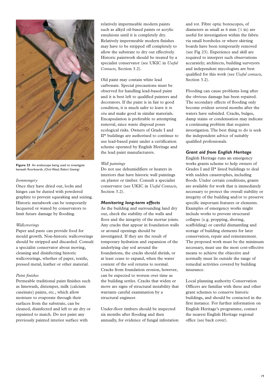

**Figure 23** An endoscope being used to investigate beneath floorboards. *(Chris Wood, Robert Gowing)*

#### *Ironmongery*

Once they have dried out, locks and hinges can be dusted with powdered graphite to prevent squeaking and seizing. Historic metalwork can be temporarily lacquered or waxed by conservators to limit future damage by flooding.

#### *Wallcoverings*

Paper and paste can provide food for mould growth. Non-historic wallcoverings should be stripped and discarded. Consult a specialist conservator about moving, cleaning and disinfecting historic wallcoverings, whether of paper, textile, pressed metal, leather or other material.

#### *Paint finishes*

Permeable traditional paint finishes such as limewash, distemper, milk (calcium caseinate) paints, etc., which allow moisture to evaporate through their surfaces from the substrate, can be cleaned, disinfected and left to air dry or repainted to match. Do not paint any previously painted interior surface with

relatively impermeable modern paints such as alkyd oil-based paints or acrylic emulsions until it is completely dry. Relatively impermeable modern finishes may have to be stripped off completely to allow the substrate to dry out effectively. Historic paintwork should be treated by a specialist conservator (see UKIC in *Useful Contacts,* Section 3.2).

Old paint may contain white lead carbonate. Special precautions must be observed for handling lead-based paint and it is best left to qualified painters and decorators. If the paint is in fair to good condition, it is much safer to leave it *in situ* and make good in similar materials. Encapsulation is preferable to attempting removal, since waste disposal poses ecological risks. Owners of Grade I and II\* buildings are authorised to continue to use lead-based paint under a certification scheme operated by English Heritage and the lead paint manufacturers.

#### *Wall paintings*

Do not use dehumidifiers or heaters in interiors that have historic wall paintings on plaster or timber. Consult a specialist conservator (see UKIC in *Useful Contacts,* Section 3.2).

## *Monitoring long-term effects*

As the building and surrounding land dry out, check the stability of the walls and floor and the integrity of the mortar joints. Any cracks that appear in foundation walls or around openings should be investigated. If they are the result of temporary hydration and expansion of the underlying clay soil around the foundations, the cracks should shrink, or at least cease to expand, when the water content of the soil returns to normal. Cracks from foundation erosion, however, can be expected to worsen over time as the building settles. Cracks that widen or move are signs of structural instability that warrants careful examination by a structural engineer.

Under-floor timbers should be inspected six months after flooding and then annually, for evidence of fungal infestation and rot. Fibre optic borescopes, of diameters as small as 6 mm (1 ⁄4 in) are useful for investigation within the fabric via small boreholes or where skirting boards have been temporarily removed (see Fig 23). Experience and skill are required to interpret such observations accurately; architects, building surveyors and independent mycologists are best qualified for this work (see *Useful contacts,* Section 3.2).

Flooding can cause problems long after the obvious damage has been repaired. The secondary effects of flooding only become evident several months after the waters have subsided. Cracks, bulges, damp stains or condensation may indicate a continuing problem that requires investigation. The best thing to do is seek the independent advice of suitably qualified professionals.

## *Grant aid from English Heritage*

English Heritage runs an emergency works grants scheme to help owners of Grades I and II\* listed buildings to deal with sudden catastrophes, including floods. Under certain conditions, grants are available for work that is immediately necessary to protect the overall stability or integrity of the building and/or to preserve specific important features or elements. Examples of emergency works might include works to prevent structural collapse (e.g. propping, shoring, scaffolding) or careful dismantling and storage of building elements for later conservation, repair and reinstatement. The proposed work must be the minimum necessary, must use the most cost-effective means to achieve the objective and normally must lie outside the range of remedial activities covered by building insurance.

Local planning authority Conservation Officers are familiar with these and other grant schemes to conserve historic buildings, and should be contacted in the first instance. For further information on English Heritage's programme, contact the nearest English Heritage regional office (see back cover).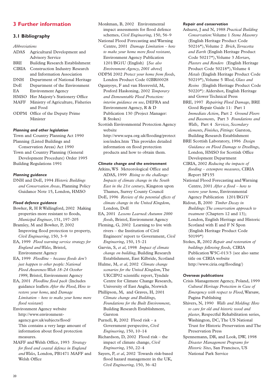# **3 Further information**

## **3.1 Bibliography**

*Abbreviations*

| <b>ADAS</b>  | Agricultural Development and           |
|--------------|----------------------------------------|
|              | <b>Advisory Service</b>                |
| <b>BRF</b>   | <b>Building Research Establishment</b> |
| <b>CIRIA</b> | <b>Construction Industry Research</b>  |
|              | and Information Association            |
| <b>DNH</b>   | Department of National Heritage        |
| DoE          | Department of the Environment          |
| EA           | <b>Environment Agency</b>              |
| <b>HMSO</b>  | Her Majesty's Stationery Office        |
| <b>MAFF</b>  | Ministry of Agriculture, Fisheries     |
|              | and Food                               |
|              | <b>ODPM</b> Office of the Deputy Prime |
|              | Minister                               |

#### *Planning and other legislation*

Town and Country Planning Act 1990 Planning (Listed Buildings and Conservation Areas) Act 1990 Town and Country Planning (General Development Procedure) Order 1995 Building Regulations 1991

#### *Planning guidance*

DNH and DoE, 1994 *Historic Buildings and Conservation Areas*, Planning Policy Guidance Note 15, London, HMSO

#### *Flood defence guidance*

Bowker, R, H R Wallingford, 2002 Making properties more resistant to floods, *Municipal Engineer*, 151, 197–205

Bramley, M and Bowker, P, 2002 Improving flood protection to property, *Civil Engineering*, 150, 3–9

EA, 1999 *Flood warning service strategy for England and Wales,* Bristol, Environment Agency

EA, 1999 *Floodline – because floods don't just happen to other people: National Flood Awareness Week 18–24 October 1999*, Bristol, Environment Agency

EA, 2001 *Floodline flood pack* (Includes guidance leaflets *After the Flood, How to restore your home,* and *Damage Limitation – how to make your home more flood resistant*)

Environment Agency website http://www.environmentagency.gov.uk/subjects/flood/ This contains a very large amount of information about flood protection measures.

MAFF and Welsh Office, 1993 *Strategy for flood and coastal defence in England and Wales,* London, PB1471 MAFF and Welsh Office

Monkman, B, 2002 Environmental impact assessments for flood defence schemes, *Civil Engineering*, 150, 56–9

National Flood Forecasting and Warning Centre, 2001 *Damage Limitation – how to make your home more flood resistant*, Environment Agency Publication 1201/BG1U (English) [*See also Environment Agency, 2001 above*]

ODPM 2002 *Protect your home from floods*, London Product Code 02BR00028

Ogunyoye, F and van Heereveld, M, Posford Haskoning, 2002 *Temporary and Demountable Flood Protection: interim guidance on use*, DEFRA and Environment Agency, R & D Publication 130 (Project Manager: R Stokes)

Scottish Environmental Protection Agency website

http://www.sepa.org.uk/flooding/protect ion/index.htm This provides detailed information on flood protection products and how to obtain them.

#### *Climate change and the environment*

Atkins, WS Meteorological Office and ADAS, 1999 *Rising to the challenge: Impacts of climate change in the South East in the 21st century*, Kingston upon Thames, Surrey County Council

DoE, 1996 *Review of the potential effects of climate change in the United Kingdom*, London, DoE

EA, 2001 *Lessons Learned: Autumn 2000 floods*, Bristol, Environment Agency

Fleming, G, 2002 Learning to live with rivers – the Institution of Civil Engineers' report to Government, *Civil Engineering*, 150, 15–21

Garvin, S, *et al*, 1998 *Impact of climate change on building*, Building Research Establishment, East Kilbride, Scotland

Hulme, M, *et al*, 2002 *Climate change scenarios for the United Kingdom*,The UKCIP02 scientific report, Tyndale Centre for Climate Change Research, University of East Anglia, Norwich

Phillipson, M, and Graves, H, 2001 *Climate change and Buildings, Foundations for the Built Environment*, Building Research Establishment, Garston

Purnell, R, 2002 Flood risk – a Government perspective, *Civil Engineering*, 150, 10–14

Richardson, D, 2002 Flood risk – the impact of climate change, *Civil Engineering*, 150, 22–4

Sayers, P, *et al*, 2002 Towards risk-based flood hazard management in the UK, *Civil Engineering*, 150, 36–42

#### *Repair and conservation*

Ashurst, J and N, 1988 *Practical Building Conservation*: Volume 1 *Stone Masonry* (English Heritage Product Code 50216\*), Volume 2 *Brick,Terracotta and Earth* (English Heritage Product Code 50217\*), Volume 3 *Mortars, Plasters and Renders* (English Heritage Product Code 50218\*), Volume 4 *Metals* (English Heritage Product Code 50219\*), Volume 5 *Wood, Glass and Resins* (English Heritage Product Code 50220\*): Aldershot, English Heritage and Gower Technical Press

BRE, 1997 *Repairing Flood Damage*, BRE Good Repair Guide 11: Part 1 *Immediate Action,* Part 2 *Ground Floors and Basements*, Part 3 *Foundations and Walls*, Part 4 *Services, Secondary elements, Finishes, Fittings*: Garston, Building Research Establishment

BRE Scottish Laboratory, 1996 *Design Guidance on Flood Damage to Dwellings*, London, HMSO for Scottish Office Development Department

CIRIA, 2002 *Reducing the impacts of flooding – extempore measures*, CIRIA Report SP155

National Flood Forecasting and Warning Centre, 2001 *After a flood – how to restore your home*, Environmental Agency Publication 1201/BG1V

Ridout, B, 2000 *Timber Decay in Buildings:The conservation approach to treatment* (Chapters 12 and 13); London, English Heritage and Historic Scotland with E and F N Spon (English Heritage Product Code 50199\*)

Stokes, R, 2002 *Repair and restoration of buildings following floods,* CIRIA Publication W5C-013/3 (see also same title on CIRIA website http://www.ciria.org/flooding/)

#### *Overseas publications*

Crisis Management Agency, Poland, 1999 *Cultural Heritage Protection in Case of Emergency with respect to Flood*, Warsaw, Pagina Publishing

Shivers, N, 1990 *Walls and Molding: How to care for old and historic wood and plaster*, Respectful Rehabilitation series, Washington, DC, The US National Trust for Historic Preservation and The Preservation Press

Spennemann, DR, and Look, DW, 1998 *Disaster Management Programs for Historic Sites*, San Francisco, US National Park Service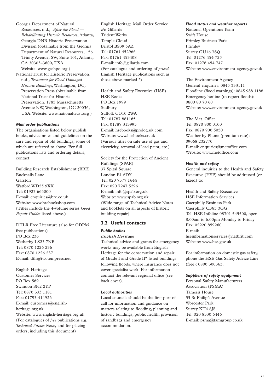Georgia Department of Natural Resources, n.d., *After the Flood — Rehabilitating Historic Resources*, Atlanta, Georgia DNR Historic Preservation Division (obtainable from the Georgia Department of Natural Resources, 156 Trinity Avenue, SW, Suite 101, Atlanta, GA 30303–3600, USA. Website: www.gashpo.org )

National Trust for Historic Preservation, n.d., *Treatment for Flood Damaged Historic Buildings*, Washington, DC, Preservation Press (obtainable from National Trust for Historic Preservation, 1785 Massachusetts Avenue NW, Washington, DC 20036, USA. Website: www.nationaltrust.org )

#### *Mail order publications*

The organisations listed below publish books, advice notes and guidelines on the care and repair of old buildings, some of which are referred to above. For full publications lists and ordering details, contact:

Building Research Establishment (BRE) Bucknalls Lane Garston Watford WD25 9XX Tel: 01923 664000 E-mail: enquiries@bre.co.uk Website: www.brebookshop.com (Titles include the 4-volume series *Good Repair Guides* listed above.)

DTLR Free Literature (also for ODPM free publications) PO Box 236 Wetherby LS23 7NB Tel: 0870 1226 236 Fax: 0870 1226 237 E-mail: dtlr@twoten.press.net

English Heritage Customer Services PO Box 569 Swindon SN2 2YP Tel: 0870 333 1181 Fax: 01793 414926 E-mail: customers@englishheritage.org.uk Website: www.english-heritage.org.uk (For catalogues of *free* publications e.g. *Technical Advice Notes,* and for placing orders, including this document)

English Heritage Mail Order Service c/o Gillards Trident Works Temple Cloud Bristol BS39 5AZ Tel: 01761 452966 Fax: 01761 453408 E-mail: info@gillards.com (For catalogue and ordering of *priced* English Heritage publications such as those above marked \*)

Health and Safety Executive (HSE) HSE Books PO Box 1999 Sudbury Suffolk CO10 2WA Tel: 01787 881165 Fax: 01787 313995 E-mail: hsebooks@prolog.uk.com Website: www.hsebooks.co.uk (Various titles on safe use of gas and electricity, removal of lead paint, etc.)

Society for the Protection of Ancient Buildings (SPAB) 37 Spital Square London E1 6DY Tel: 020 7377 1644 Fax: 020 7247 5296 E-mail: info@spab.org.uk Website: www.spab.org.uk (Wide range of Technical Advice Notes and booklets on all aspects of historic building repair)

#### **3.2 Useful contacts**

#### *Public bodies*

*English Heritage* Technical advice and grants for emergency works may be available from English Heritage for the conservation and repair of Grade I and Grade II\* listed buildings following floods, where insurance does not cover specialist work. For information contact the relevant regional office (see back cover).

#### *Local authorities*

Local councils should be the first port of call for information and guidance on matters relating to flooding, planning and historic buildings, public health, provision of sandbags and emergency accommodation.

#### *Flood status and weather reports*

National Operations Team Swift House Frimley Business Park Frimley Surrey GU16 7SQ Tel: 01276 454 725 Fax: 01276 454 747 Website: www.environment-agency.gov.uk

The Environment Agency General enquiries: 0845 333111 Floodline (flood warnings): 0845 988 1188 Emergency hotline (to report floods): 0800 80 70 60 Website: www.environment-agency.gov.uk

The Met. Office Tel: 0870 900 0100 Fax: 0870 900 5050 Weather by Phone (premium rate): 09068 232770 E-mail: enquiries@metoffice.com Website: www.metoffice.com

#### *Health and safety*

General inquiries to the Health and Safety Executive (HSE) should be addressed (or faxed) to:

Health and Safety Executive HSE Information Services Caerphilly Business Park Caerphilly CF83 3GG Tel: HSE Infoline 08701 545500, open 8.00am to 6.00pm Monday to Friday Fax: 02920 859260 E-mail: hseinformationservices@natbrit.com Website: www.hse.gov.uk

For information on domestic gas safety, phone the HSE Gas Safety Advice Line (free): 0800 300363.

#### *Suppliers of safety equipment*

Personal Safety Manufacturers Association (PSMA) Tamesis House 35 St Philip's Avenue Worcester Park Surrey KT4 8JS Tel: 020 8330 6446 E-mail: psma@tamgroup.co.uk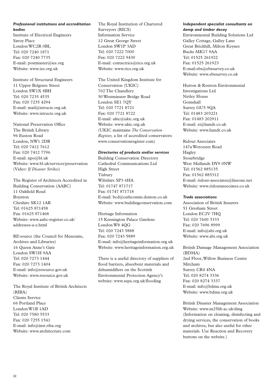#### *Professional institutions and accreditation bodies*

Institute of Electrical Engineers Savoy Place London WC2R 0BL Tel: 020 7240 1871 Fax: 020 7240 7735 E-mail: postmaster@iee.org Website: www.iee.org.uk

Institute of Structural Engineers 11 Upper Belgrave Street London SW1X 8BH Tel: 020 7235 4535 Fax: 020 7235 4294 E-mail: mail@istructe.org.uk Website: www.istructe.org.uk

National Preservation Office The British Library 96 Euston Road London, NW1 2DB Tel: 020 7412 7612 Fax: 020 7412 7796 E-mail: npo@bl.uk Website: www.bl.uk/services/preservation (Video: *If Disaster Strikes*)

The Register of Architects Accredited in Building Conservation (AABC) 11 Oakfield Road Boynton Cheshire SK12 1AR Tel: 01625 871458 Fax: 01625 871468 Website: www.aabc-register.co.uk/ addresses-a-z.html

RE:source (the Council for Museums, Archives and Libraries) 16 Queen Anne's Gate London SW1H 9AA Tel: 020 7273 1444 Fax: 020 7273 1404 E-mail: info@resource.gov.uk Website: www.resource.gov.uk

The Royal Institute of British Architects (RIBA) Clients Service 66 Portland Place London W1B 1AD Tel: 020 7580 5533 Fax: 020 7255 1541 E-mail: info@inst.riba.org Website: www.architecture.com

The Royal Institution of Chartered Surveyors (RICS) Information Service 12 Great George Street London SW1P 3AD Tel: 020 7222 7000 Fax: 020 7222 9430 E-mail: contactrics@rics.org.uk Website: www.rics.org.uk

The United Kingdom Institute for Conservation (UKIC) 702 The Chandlery 50 Westminster Bridge Road London SE1 7QY Tel: 020 7721 8721 Fax: 020 7721 8722 E-mail: ukic@ukic.org.uk Website: www.ukic.org.uk (UKIC maintains *The Conservation Register,* a list of accredited conservators: www.conservationregister.com)

#### *Directories of products and/or services*

Building Conservation Directory Cathedral Communications Ltd High Street Tisbury Wiltshire SP3 6HA Tel: 01747 871717 Fax: 01747 871718 E-mail: bcd@cathcomm.demon.co.uk Website: www.buildingconservation.com

Heritage Information 15 Kensington Palace Gardens London W8 4QG Tel: 020 7243 5888 Fax: 020 7243 5889 E-mail: info@heritageinformation.org.uk Website: www.heritageinformation.org.uk

There is a useful directory of suppliers of flood barriers, absorbent materials and dehumidifiers on the Scottish Environmental Protection Agency's website: www.sepa.org.uk/flooding

#### *Independent specialist consultants on damp and timber decay*

Environmental Building Solutions Ltd Galley Cottage, Galley Lane Great Brickhill, Milton Keynes Bucks MK17 9AA Tel: 01525 261922 Fax: 01525 261923 E-mail:ebs@ebssurvey.co.uk Website: www.ebssurvey.co.uk

Hutton & Rostron Environmental Investigations Ltd Netley House Gomshall Surrey GU5 9QA Tel: 01483 203221 Fax: 01483 202911 E-mail: ei@handr.co.uk Website: www.handr.co.uk

Ridout Associates 147a Worcester Road Hagley Stourbridge West Midlands DY9 0NW Tel: 01562 885135 Fax: 01562 885312 E-mail: ridout-associates@lineone.net Website: www.ridoutassociates.co.uk

#### *Trade associations*

Association of British Insurers 51 Gresham Street London EC2V 7HQ Tel: 020 7600 3333 Fax: 020 7696 8999 E-mail: info@abi.org.uk Website: www.abi.org.uk

British Damage Management Association (BDMA) 2nd Floor, Willow Business Centre Mitcham Surrey CR4 4NA Tel: 020 8274 3336 Fax: 020 8274 3337 E-mail: info@bdma.org.uk Website: www.bdma.org.uk

British Disaster Management Association Website: www.m25lib.ac.uk/dmg (Information on cleaning, disinfecting and drying services, the conservation of books and archives, but also useful for other materials. Use Reaction and Recovery buttons on the website.)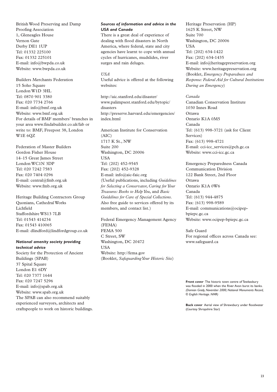British Wood Preserving and Damp Proofing Association 1, Gleneagles House Vernon Gate Derby DE1 1UP Tel: 01332 225100 Fax: 01332 225101 E-mail: info@bwpda.co.uk Website: www.bwpda.co.uk

Builders Merchants Federation 15 Soho Square London W1D 3HL Tel: 0870 901 3380 Fax: 020 7734 2766 E-mail: info@bmf.org.uk Website: www.bmf.org.uk For details of BMF members' branches in your area www.findabuilder.co.uk/fab or write to: BMF, Freepost 38, London W1E 6QZ

Federation of Master Builders Gordon Fisher House 14–15 Great James Street London WC1N 3DP Tel: 020 7242 7583 Fax: 020 7404 0296 E-mail: central@fmb.org.uk Website: www.fmb.org.uk

Heritage Building Contractors Group Quonians, Cathedral Works Lichfield Staffordshire WS13 7LB Tel: 01543 414234 Fax: 01543 410065 E-mail: dlindford@lindfordgroup.co.uk

## *National amenity society providing technical advice*

Society for the Protection of Ancient Buildings (SPAB) 37 Spital Square London E1 6DY Tel: 020 7377 1644 Fax: 020 7247 5296 E-mail: info@spab.org.uk Website: www.spab.org.uk The SPAB can also recommend suitably experienced surveyors, architects and craftspeople to work on historic buildings.

## *Sources of information and advice in the USA and Canada*

There is a great deal of experience of dealing with flood disasters in North America, where federal, state and city agencies have learnt to cope with annual cycles of hurricanes, mudslides, river surges and rain deluges.

*USA*

Useful advice is offered at the following websites:

http://aic.stanford.edu/disaster/ www.palimpsest.stanford.edu/bytopic/ disasters http://preserve.harvard.edu/emergencies/ index.html

American Institute for Conservation (AIC) 1717 K St., NW Suite 200 Washington, DC 20006 **TISA** Tel: (202) 452-9545 Fax: (202) 452-9328 E-mail: info@aic-faic.org (Useful publications, including *Guidelines for Selecting a Conservator, Caring for Your Treasures: Books to Help You*, and *Basic Guidelines for Care of Special Collections*. Also free guide to services offered by its members, and contact list.)

Federal Emergency Management Agency (FEMA) FEMA 500 C Street, SW Washington, DC 20472 USA Website: http://fema.gov (Booklet, *Safeguarding Your Historic Site*)

Heritage Preservation (HP) 1625 K Street, NW Suite 700 Washington, DC 20006 USA Tel: (202) 634-1422 Fax: (202) 634-1435 E-mail: info@heritagepreservation.org Website: www.heritagepreservation.org (Booklet, *Emergency Preparedness and Response: Federal Aid for Cultural Institutions During an Emergency*)

*Canada* Canadian Conservation Institute 1030 Innes Road Ottawa Ontario K1A 0M5 Canada Tel: (613) 998-3721 (ask for Client Services) Fax: (613) 998-4721 E-mail: cci-icc\_services@pch.gc.ca Website: www.cci-icc.gc.ca

Emergency Preparedness Canada Communication Division 122 Bank Street, 2nd Floor Ottawa Ontario K1A 0W6 Canada Tel: (613) 944-4875 Fax: (613) 998-9589 E-mail: communications@ocipepbpiepc.gc.ca Website: www.ocipep-bpiepc.gc.ca

Safe Guard For regional offices across Canada see: www.safeguard.ca

**Front cover** The historic town centre of Tewkesbury was flooded in 2000 when the River Avon burst its banks. *(Damian Grady, November 2000, National Monuments Record, © English Heritage. NMR)*

**Back cover** Aerial view of Shrewsbury under floodwater (*Courtesy* Shropshire Star)